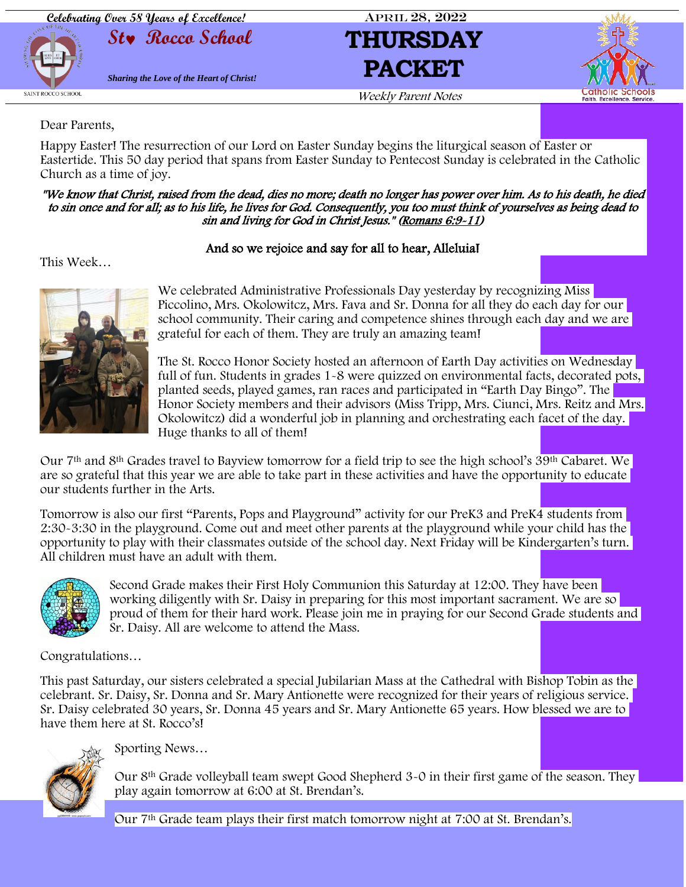

Dear Parents,

Happy Easter! The resurrection of our Lord on Easter Sunday begins the liturgical season of Easter or Eastertide. This 50 day period that spans from Easter Sunday to Pentecost Sunday is celebrated in the Catholic Church as a time of joy.

#### "We know that Christ, raised from the dead, dies no more; death no longer has power over him. As to his death, he died to sin once and for all; as to his life, he lives for God. Consequently, you too must think of yourselves as being dead to sin and living for God in Christ Jesus." [\(Romans 6:9-11\)](https://bible.usccb.org/bible/romans/6)

#### And so we rejoice and say for all to hear, Alleluia!

This Week…



We celebrated Administrative Professionals Day yesterday by recognizing Miss Piccolino, Mrs. Okolowitcz, Mrs. Fava and Sr. Donna for all they do each day for our school community. Their caring and competence shines through each day and we are grateful for each of them. They are truly an amazing team!

The St. Rocco Honor Society hosted an afternoon of Earth Day activities on Wednesday full of fun. Students in grades 1-8 were quizzed on environmental facts, decorated pots, planted seeds, played games, ran races and participated in "Earth Day Bingo". The Honor Society members and their advisors (Miss Tripp, Mrs. Ciunci, Mrs. Reitz and Mrs. Okolowitcz) did a wonderful job in planning and orchestrating each facet of the day. Huge thanks to all of them!

Our 7th and 8th Grades travel to Bayview tomorrow for a field trip to see the high school's 39th Cabaret. We are so grateful that this year we are able to take part in these activities and have the opportunity to educate our students further in the Arts.

Tomorrow is also our first "Parents, Pops and Playground" activity for our PreK3 and PreK4 students from 2:30-3:30 in the playground. Come out and meet other parents at the playground while your child has the opportunity to play with their classmates outside of the school day. Next Friday will be Kindergarten's turn. All children must have an adult with them.



Second Grade makes their First Holy Communion this Saturday at 12:00. They have been working diligently with Sr. Daisy in preparing for this most important sacrament. We are so proud of them for their hard work. Please join me in praying for our Second Grade students and Sr. Daisy. All are welcome to attend the Mass.

Congratulations…

This past Saturday, our sisters celebrated a special Jubilarian Mass at the Cathedral with Bishop Tobin as the celebrant. Sr. Daisy, Sr. Donna and Sr. Mary Antionette were recognized for their years of religious service. Sr. Daisy celebrated 30 years, Sr. Donna 45 years and Sr. Mary Antionette 65 years. How blessed we are to have them here at St. Rocco's!



Sporting News…

Our 8<sup>th</sup> Grade volleyball team swept Good Shepherd 3-0 in their first game of the season. They play again tomorrow at 6:00 at St. Brendan's.

Our 7th Grade team plays their first match tomorrow night at 7:00 at St. Brendan's.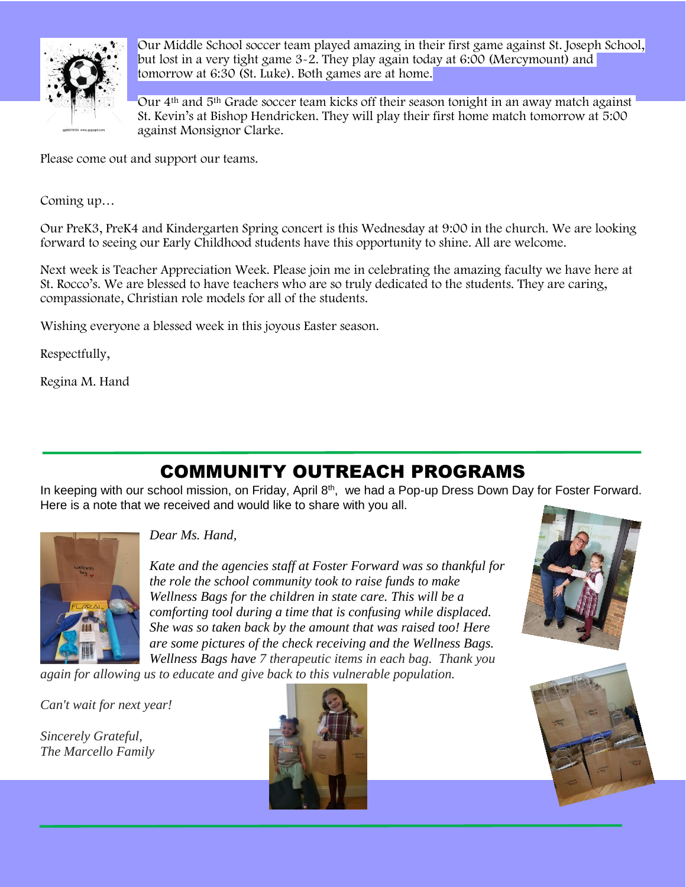

Our Middle School soccer team played amazing in their first game against St. Joseph School, but lost in a very tight game 3-2. They play again today at 6:00 (Mercymount) and tomorrow at 6:30 (St. Luke). Both games are at home.

Our 4th and 5th Grade soccer team kicks off their season tonight in an away match against St. Kevin's at Bishop Hendricken. They will play their first home match tomorrow at 5:00 against Monsignor Clarke.

Please come out and support our teams.

Coming up…

Our PreK3, PreK4 and Kindergarten Spring concert is this Wednesday at 9:00 in the church. We are looking forward to seeing our Early Childhood students have this opportunity to shine. All are welcome.

Next week is Teacher Appreciation Week. Please join me in celebrating the amazing faculty we have here at St. Rocco's. We are blessed to have teachers who are so truly dedicated to the students. They are caring, compassionate, Christian role models for all of the students.

Wishing everyone a blessed week in this joyous Easter season.

Respectfully,

Regina M. Hand

# COMMUNITY OUTREACH PROGRAMS

In keeping with our school mission, on Friday, April 8<sup>th</sup>, we had a Pop-up Dress Down Day for Foster Forward. Here is a note that we received and would like to share with you all.



*Dear Ms. Hand,*

*Kate and the agencies staff at Foster Forward was so thankful for the role the school community took to raise funds to make Wellness Bags for the children in state care. This will be a comforting tool during a time that is confusing while displaced. She was so taken back by the amount that was raised too! Here are some pictures of the check receiving and the Wellness Bags. Wellness Bags have 7 therapeutic items in each bag. Thank you* 

*again for allowing us to educate and give back to this vulnerable population.*

*Can't wait for next year!*

*Sincerely Grateful, The Marcello Family*





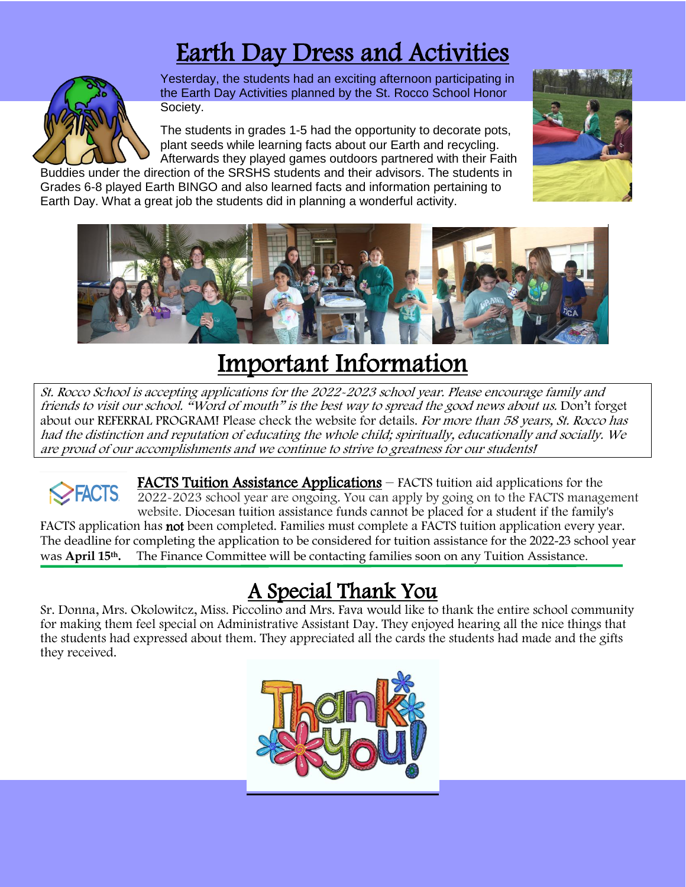# Earth Day Dress and Activities



Yesterday, the students had an exciting afternoon participating in the Earth Day Activities planned by the St. Rocco School Honor Society.

The students in grades 1-5 had the opportunity to decorate pots, plant seeds while learning facts about our Earth and recycling. Afterwards they played games outdoors partnered with their Faith

Buddies under the direction of the SRSHS students and their advisors. The students in Grades 6-8 played Earth BINGO and also learned facts and information pertaining to Earth Day. What a great job the students did in planning a wonderful activity.





# Important Information

St. Rocco School is accepting applications for the 2022-2023 school year. Please encourage family and friends to visit our school. "Word of mouth" is the best way to spread the good news about us. Don't forget about our REFERRAL PROGRAM! Please check the website for details. For more than 58 years, St. Rocco has had the distinction and reputation of educating the whole child; spiritually, educationally and socially. We are proud of our accomplishments and we continue to strive to greatness for our students!

FACTS Tuition Assistance Applications – FACTS tuition aid applications for the **EACTS** 2022-2023 school year are ongoing. You can apply by going on to the FACTS management website. Diocesan tuition assistance funds cannot be placed for a student if the family's FACTS application has not been completed. Families must complete a FACTS tuition application every year. The deadline for completing the application to be considered for tuition assistance for the 2022-23 school year was **April 15th.** The Finance Committee will be contacting families soon on any Tuition Assistance.

# A Special Thank You

Sr. Donna, Mrs. Okolowitcz, Miss. Piccolino and Mrs. Fava would like to thank the entire school community for making them feel special on Administrative Assistant Day. They enjoyed hearing all the nice things that the students had expressed about them. They appreciated all the cards the students had made and the gifts they received.

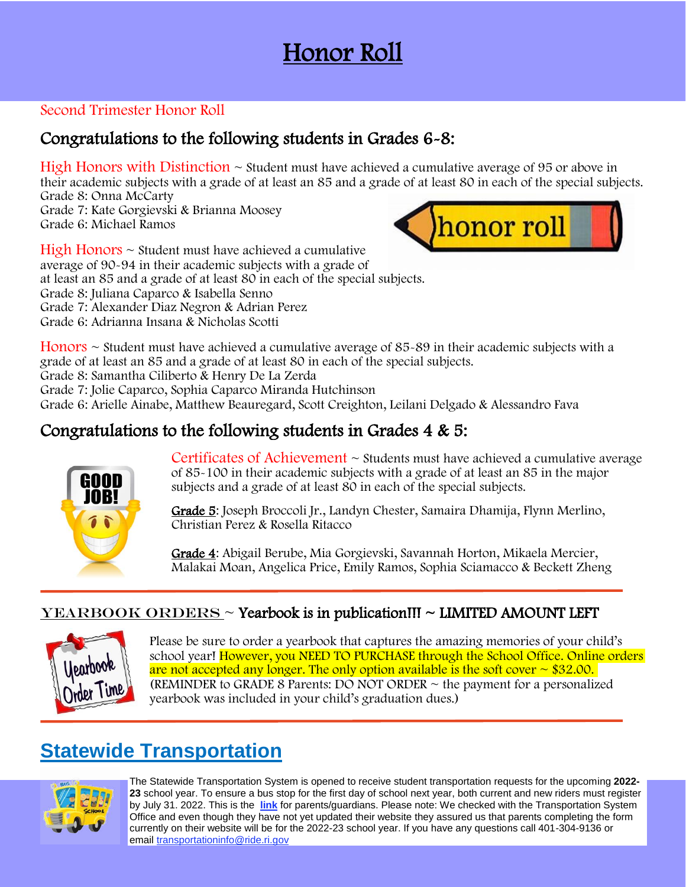# Honor Roll

### Second Trimester Honor Roll

## Congratulations to the following students in Grades 6-8:

High Honors with Distinction  $\sim$  Student must have achieved a cumulative average of 95 or above in their academic subjects with a grade of at least an 85 and a grade of at least 80 in each of the special subjects. Grade 8: Onna McCarty Grade 7: Kate Gorgievski & Brianna Moosey

Grade 6: Michael Ramos



 $High Honors \sim Student must have achieved a cumulative$ average of 90-94 in their academic subjects with a grade of at least an 85 and a grade of at least 80 in each of the special subjects. Grade 8: Juliana Caparco & Isabella Senno Grade 7: Alexander Diaz Negron & Adrian Perez Grade 6: Adrianna Insana & Nicholas Scotti

Honors  $\sim$  Student must have achieved a cumulative average of 85-89 in their academic subjects with a grade of at least an 85 and a grade of at least 80 in each of the special subjects.

Grade 8: Samantha Ciliberto & Henry De La Zerda

Grade 7: Jolie Caparco, Sophia Caparco Miranda Hutchinson

Grade 6: Arielle Ainabe, Matthew Beauregard, Scott Creighton, Leilani Delgado & Alessandro Fava

## Congratulations to the following students in Grades 4 & 5:



Certificates of Achievement  $\sim$  Students must have achieved a cumulative average of 85-100 in their academic subjects with a grade of at least an 85 in the major subjects and a grade of at least 80 in each of the special subjects.

Grade 5: Joseph Broccoli Jr., Landyn Chester, Samaira Dhamija, Flynn Merlino, Christian Perez & Rosella Ritacco

Grade 4: Abigail Berube, Mia Gorgievski, Savannah Horton, Mikaela Mercier, Malakai Moan, Angelica Price, Emily Ramos, Sophia Sciamacco & Beckett Zheng

### $YEARBOOK ORDERS \sim Yearbook$  is in publication!!! ~ LIMITED AMOUNT LEFT



Please be sure to order a yearbook that captures the amazing memories of your child's school year! However, you NEED TO PURCHASE through the School Office. Online orders are not accepted any longer. The only option available is the soft cover  $\sim$  \$32.00. (REMINDER to GRADE 8 Parents: DO NOT ORDER  $\sim$  the payment for a personalized yearbook was included in your child's graduation dues.)

# **Statewide Transportation**



The Statewide Transportation System is opened to receive student transportation requests for the upcoming **2022- 23** school year. To ensure a bus stop for the first day of school next year, both current and new riders must register by July 31. 2022. This is the **[link](https://r20.rs6.net/tn.jsp?f=001Bh3k1aALkuXPF0fjEwjz_-AJ0e-sKwpTjDjl9_i7wPQPSOpP2cRi5ZrWXHrD8_U5iEuWvhp8F9qnkQFoCRAX1yYZEpOGoLjVwr14mcgC2a93PlM6RhDZopfIi1oPfxqCDTfWRmz9WqhiZhjdRV7iqNKOs6vcopF8v9uoTFLi_bs9dBdhODBbnEjhamWlK7dMqZh8FpDhoh8JHVaYUvjkjPDfwnTkSmwwJHus76b9nyzfeOa0nFF_QiQ9OPoHZVoh4TUPyJI3U3e0cAw7EdzetKmmrVma_K83nlUlzBekMqZudf6pZp6JJ_CSDiBnokTJuxiGIzoBI4eGpvv_pEubrDgPY9Oez6C7hlqhoz8zI_g=&c=2VunItJxJbihE7M_KQ80ZRwUIDQaEZoErfr1m66OX8N-6O_BP3hgFA==&ch=f4N9rhkuY5rMx9bDqo_rhn63Ky3H3Pp8W04ETkv1hB4DMPR0joyFwA==)** for parents/guardians. Please note: We checked with the Transportation System Office and even though they have not yet updated their website they assured us that parents completing the form currently on their website will be for the 2022-23 school year. If you have any questions call 401-304-9136 or email [transportationinfo@ride.ri.gov](mailto:transportationinfo@ride.ri.gov)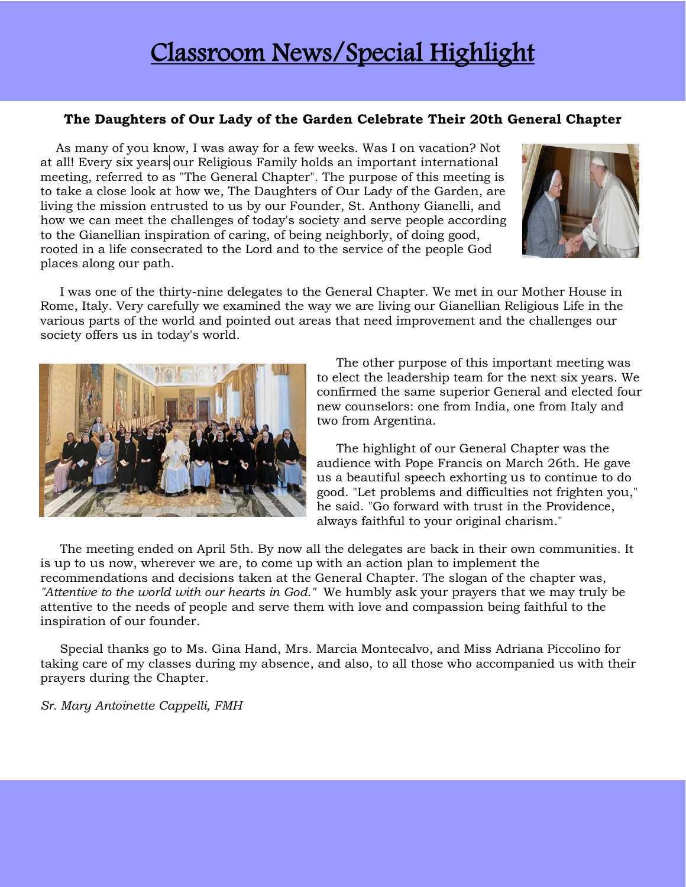# Classroom News/Special Highlight

#### **The Daughters of Our Lady of the Garden Celebrate Their 20th General Chapter**

 As many of you know, I was away for a few weeks. Was I on vacation? Not at all! Every six years our Religious Family holds an important international meeting, referred to as "The General Chapter". The purpose of this meeting is to take a close look at how we, The Daughters of Our Lady of the Garden, are living the mission entrusted to us by our Founder, St. Anthony Gianelli, and how we can meet the challenges of today's society and serve people according to the Gianellian inspiration of caring, of being neighborly, of doing good, rooted in a life consecrated to the Lord and to the service of the people God places along our path.



 I was one of the thirty-nine delegates to the General Chapter. We met in our Mother House in Rome, Italy. Very carefully we examined the way we are living our Gianellian Religious Life in the various parts of the world and pointed out areas that need improvement and the challenges our society offers us in today's world.



 The other purpose of this important meeting was to elect the leadership team for the next six years. We confirmed the same superior General and elected four new counselors: one from India, one from Italy and two from Argentina.

 The highlight of our General Chapter was the audience with Pope Francis on March 26th. He gave us a beautiful speech exhorting us to continue to do good. "Let problems and difficulties not frighten you," he said. "Go forward with trust in the Providence, always faithful to your original charism."

 The meeting ended on April 5th. By now all the delegates are back in their own communities. It is up to us now, wherever we are, to come up with an action plan to implement the recommendations and decisions taken at the General Chapter. The slogan of the chapter was, *"Attentive to the world with our hearts in God."* We humbly ask your prayers that we may truly be attentive to the needs of people and serve them with love and compassion being faithful to the inspiration of our founder.

 Special thanks go to Ms. Gina Hand, Mrs. Marcia Montecalvo, and Miss Adriana Piccolino for taking care of my classes during my absence, and also, to all those who accompanied us with their prayers during the Chapter.

*Sr. Mary Antoinette Cappelli, FMH*